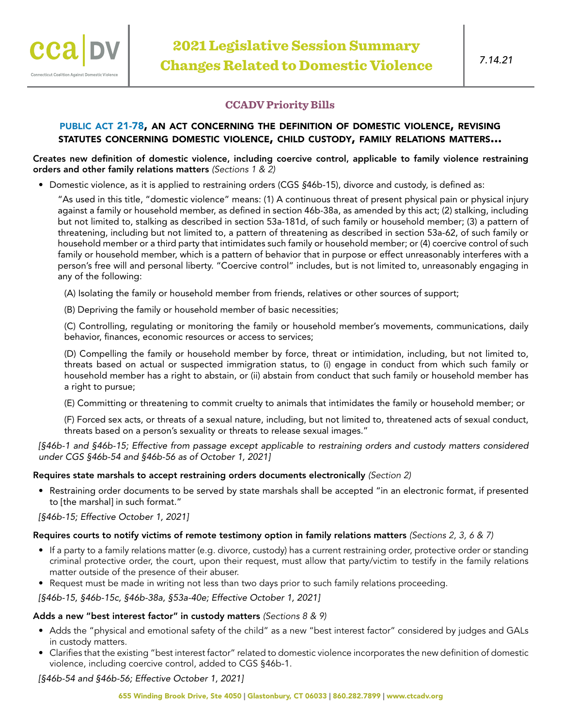# **CCADV Priority Bills**

### public act [21-78,](https://www.cga.ct.gov/2021/ACT/PA/PDF/2021PA-00078-R00SB-01091-PA.PDF) an act concerning the definition of domestic violence, revising statutes concerning domestic violence, child custody, family relations matters...

#### Creates new definition of domestic violence, including coercive control, applicable to family violence restraining orders and other family relations matters *(Sections 1 & 2)*

• Domestic violence, as it is applied to restraining orders (CGS *§*46b-15), divorce and custody, is defined as:

"As used in this title, "domestic violence" means: (1) A continuous threat of present physical pain or physical injury against a family or household member, as defined in section 46b-38a, as amended by this act; (2) stalking, including but not limited to, stalking as described in section 53a-181d, of such family or household member; (3) a pattern of threatening, including but not limited to, a pattern of threatening as described in section 53a-62, of such family or household member or a third party that intimidates such family or household member; or (4) coercive control of such family or household member, which is a pattern of behavior that in purpose or effect unreasonably interferes with a person's free will and personal liberty. "Coercive control" includes, but is not limited to, unreasonably engaging in any of the following:

(A) Isolating the family or household member from friends, relatives or other sources of support;

(B) Depriving the family or household member of basic necessities;

(C) Controlling, regulating or monitoring the family or household member's movements, communications, daily behavior, finances, economic resources or access to services;

(D) Compelling the family or household member by force, threat or intimidation, including, but not limited to, threats based on actual or suspected immigration status, to (i) engage in conduct from which such family or household member has a right to abstain, or (ii) abstain from conduct that such family or household member has a right to pursue;

(E) Committing or threatening to commit cruelty to animals that intimidates the family or household member; or

(F) Forced sex acts, or threats of a sexual nature, including, but not limited to, threatened acts of sexual conduct, threats based on a person's sexuality or threats to release sexual images."

*[§46b-1 and §46b-15; Effective from passage except applicable to restraining orders and custody matters considered under CGS §46b-54 and §46b-56 as of October 1, 2021]*

### Requires state marshals to accept restraining orders documents electronically *(Section 2)*

• Restraining order documents to be served by state marshals shall be accepted "in an electronic format, if presented to [the marshal] in such format."

*[§46b-15; Effective October 1, 2021]*

### Requires courts to notify victims of remote testimony option in family relations matters *(Sections 2, 3, 6 & 7)*

- If a party to a family relations matter (e.g. divorce, custody) has a current restraining order, protective order or standing criminal protective order, the court, upon their request, must allow that party/victim to testify in the family relations matter outside of the presence of their abuser.
- Request must be made in writing not less than two days prior to such family relations proceeding.

*[§46b-15, §46b-15c, §46b-38a, §53a-40e; Effective October 1, 2021]*

# Adds a new "best interest factor" in custody matters *(Sections 8 & 9)*

- Adds the "physical and emotional safety of the child" as a new "best interest factor" considered by judges and GALs in custody matters.
- Clarifies that the existing "best interest factor" related to domestic violence incorporates the new definition of domestic violence, including coercive control, added to CGS §46b-1.

*[§46b-54 and §46b-56; Effective October 1, 2021]*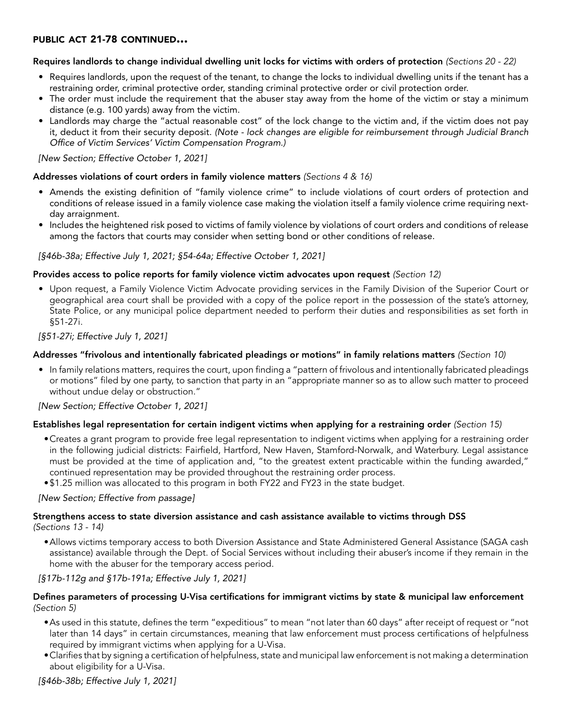# public act 21-78 continued...

### Requires landlords to change individual dwelling unit locks for victims with orders of protection *(Sections 20 - 22)*

- Requires landlords, upon the request of the tenant, to change the locks to individual dwelling units if the tenant has a restraining order, criminal protective order, standing criminal protective order or civil protection order.
- The order must include the requirement that the abuser stay away from the home of the victim or stay a minimum distance (e.g. 100 yards) away from the victim.
- Landlords may charge the "actual reasonable cost" of the lock change to the victim and, if the victim does not pay it, deduct it from their security deposit. *(Note - lock changes are eligible for reimbursement through Judicial Branch Office of Victim Services' Victim Compensation Program.)*

*[New Section; Effective October 1, 2021]*

### Addresses violations of court orders in family violence matters *(Sections 4 & 16)*

- Amends the existing definition of "family violence crime" to include violations of court orders of protection and conditions of release issued in a family violence case making the violation itself a family violence crime requiring nextday arraignment.
- Includes the heightened risk posed to victims of family violence by violations of court orders and conditions of release among the factors that courts may consider when setting bond or other conditions of release.

### *[§46b-38a; Effective July 1, 2021; §54-64a; Effective October 1, 2021]*

### Provides access to police reports for family violence victim advocates upon request *(Section 12)*

• Upon request, a Family Violence Victim Advocate providing services in the Family Division of the Superior Court or geographical area court shall be provided with a copy of the police report in the possession of the state's attorney, State Police, or any municipal police department needed to perform their duties and responsibilities as set forth in §51-27i.

### *[§51-27i; Effective July 1, 2021]*

# Addresses "frivolous and intentionally fabricated pleadings or motions" in family relations matters *(Section 10)*

• In family relations matters, requires the court, upon finding a "pattern of frivolous and intentionally fabricated pleadings or motions" filed by one party, to sanction that party in an "appropriate manner so as to allow such matter to proceed without undue delay or obstruction."

### *[New Section; Effective October 1, 2021]*

### Establishes legal representation for certain indigent victims when applying for a restraining order *(Section 15)*

- •Creates a grant program to provide free legal representation to indigent victims when applying for a restraining order in the following judicial districts: Fairfield, Hartford, New Haven, Stamford-Norwalk, and Waterbury. Legal assistance must be provided at the time of application and, "to the greatest extent practicable within the funding awarded," continued representation may be provided throughout the restraining order process.
- •\$1.25 million was allocated to this program in both FY22 and FY23 in the state budget.

### *[New Section; Effective from passage]*

### Strengthens access to state diversion assistance and cash assistance available to victims through DSS *(Sections 13 - 14)*

•Allows victims temporary access to both Diversion Assistance and State Administered General Assistance (SAGA cash assistance) available through the Dept. of Social Services without including their abuser's income if they remain in the home with the abuser for the temporary access period.

### *[§17b-112g and §17b-191a; Effective July 1, 2021]*

### Defines parameters of processing U-Visa certifications for immigrant victims by state & municipal law enforcement *(Section 5)*

- •As used in this statute, defines the term "expeditious" to mean "not later than 60 days" after receipt of request or "not later than 14 days" in certain circumstances, meaning that law enforcement must process certifications of helpfulness required by immigrant victims when applying for a U-Visa.
- •Clarifies that by signing a certification of helpfulness, state and municipal law enforcement is not making a determination about eligibility for a U-Visa.

*[§46b-38b; Effective July 1, 2021]*